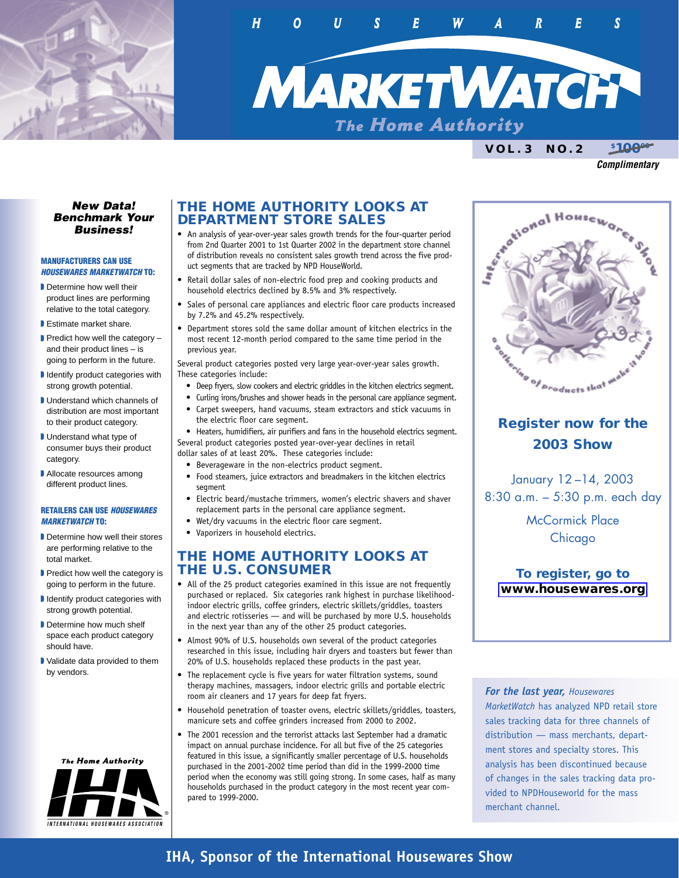

*HOUSEWAR ES*

*MARKETWATCH*

**VOL.3 NO.2 \$** \$10000

*Complimentary*

#### *New Data! Benchmark Your Business!*

#### **MANUFACTURERS CAN USE** *HOUSEWARES MARKETWATCH* **TO:**

- Determine how well their product lines are performing relative to the total category.
- **B** Estimate market share.
- $\blacksquare$  Predict how well the category and their product lines – is going to perform in the future.
- I Identify product categories with strong growth potential.
- **Understand which channels of** distribution are most important to their product category.
- Understand what type of consumer buys their product category.
- Allocate resources among different product lines.

#### **RETAILERS CAN USE** *HOUSEWARES MARKETWATCH* **TO:**

- Determine how well their stores are performing relative to the total market.
- Predict how well the category is going to perform in the future.
- I Identify product categories with strong growth potential.
- Determine how much shelf space each product category should have.
- Validate data provided to them by vendors.



## **THE HOME AUTHORITY LOOKS AT DEPARTMENT STORE SALES**

- An analysis of year-over-year sales growth trends for the four-quarter period from 2nd Quarter 2001 to 1st Quarter 2002 in the department store channel of distribution reveals no consistent sales growth trend across the five product segments that are tracked by NPD HouseWorld.
- Retail dollar sales of non-electric food prep and cooking products and household electrics declined by 8.5% and 3% respectively.
- Sales of personal care appliances and electric floor care products increased by 7.2% and 45.2% respectively.
- Department stores sold the same dollar amount of kitchen electrics in the most recent 12-month period compared to the same time period in the previous year.

Several product categories posted very large year-over-year sales growth. These categories include:

- Deep fryers, slow cookers and electric griddles in the kitchen electrics segment.
- Curling irons/brushes and shower heads in the personal care appliance segment. • Carpet sweepers, hand vacuums, steam extractors and stick vacuums in the electric floor care segment.
- Heaters, humidifiers, air purifiers and fans in the household electrics segment. Several product categories posted year-over-year declines in retail
- dollar sales of at least 20%. These categories include:
	- Beverageware in the non-electrics product segment.
	- Food steamers, juice extractors and breadmakers in the kitchen electrics segment
	- Electric beard/mustache trimmers, women's electric shavers and shaver replacement parts in the personal care appliance segment.
	- Wet/dry vacuums in the electric floor care segment.
	- Vaporizers in household electrics.

## **THE HOME AUTHORITY LOOKS AT THE U.S. CONSUMER**

- All of the 25 product categories examined in this issue are not frequently purchased or replaced. Six categories rank highest in purchase likelihoodindoor electric grills, coffee grinders, electric skillets/griddles, toasters and electric rotisseries — and will be purchased by more U.S. households in the next year than any of the other 25 product categories.
- Almost 90% of U.S. households own several of the product categories researched in this issue, including hair dryers and toasters but fewer than 20% of U.S. households replaced these products in the past year.
- The replacement cycle is five years for water filtration systems, sound therapy machines, massagers, indoor electric grills and portable electric room air cleaners and 17 years for deep fat fryers.
- Household penetration of toaster ovens, electric skillets/griddles, toasters, manicure sets and coffee grinders increased from 2000 to 2002.
- The 2001 recession and the terrorist attacks last September had a dramatic impact on annual purchase incidence. For all but five of the 25 categories featured in this issue, a significantly smaller percentage of U.S. households purchased in the 2001-2002 time period than did in the 1999-2000 time period when the economy was still going strong. In some cases, half as many households purchased in the product category in the most recent year compared to 1999-2000.



# **Register now for the 2003 Show**

January 12 –14, 2003 8:30 a.m. – 5:30 p.m. each day

> McCormick Place Chicago

**To register, go to [www.housewares.org](http://www.housewares.org)**

*For the last year, Housewares MarketWatch* has analyzed NPD retail store sales tracking data for three channels of distribution — mass merchants, department stores and specialty stores. This analysis has been discontinued because of changes in the sales tracking data provided to NPDHouseworld for the mass merchant channel.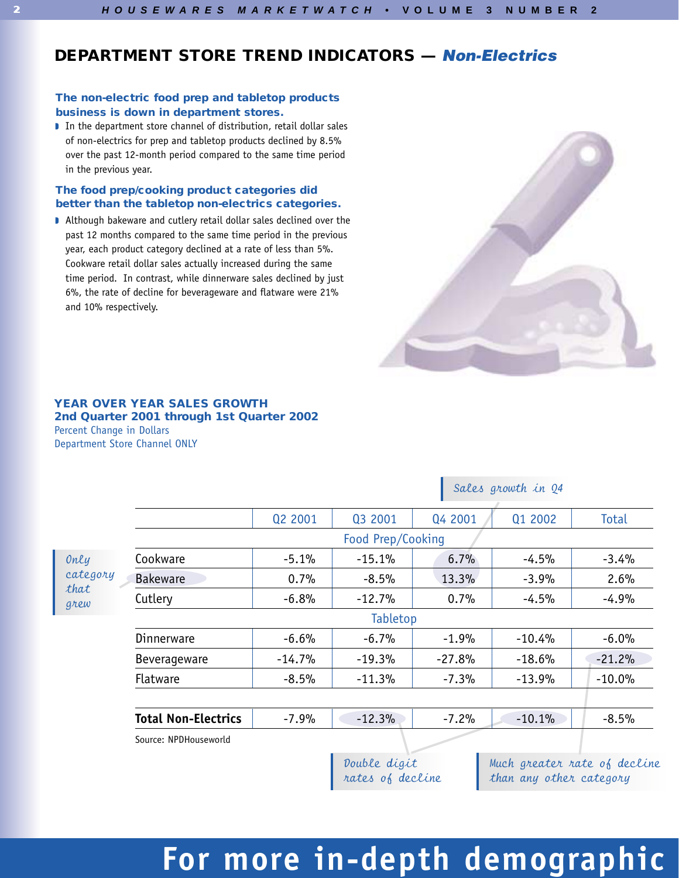# **DEPARTMENT STORE TREND INDICATORS —** *Non-Electrics*

### **The non-electric food prep and tabletop products business is down in department stores.**

In the department store channel of distribution, retail dollar sales of non-electrics for prep and tabletop products declined by 8.5% over the past 12-month period compared to the same time period in the previous year.

### **The food prep/cooking product categories did better than the tabletop non-electrics categories.**

Although bakeware and cutlery retail dollar sales declined over the past 12 months compared to the same time period in the previous year, each product category declined at a rate of less than 5%. Cookware retail dollar sales actually increased during the same time period. In contrast, while dinnerware sales declined by just 6%, the rate of decline for beverageware and flatware were 21% and 10% respectively.



### **YEAR OVER YEAR SALES GROWTH 2nd Quarter 2001 through 1st Quarter 2002** Percent Change in Dollars Department Store Channel ONLY

|                                  |                            | Q2 2001  | Q3 2001                          | Q4 2001  | Q1 2002                                                 | Total    |  |
|----------------------------------|----------------------------|----------|----------------------------------|----------|---------------------------------------------------------|----------|--|
|                                  |                            |          | Food Prep/Cooking                |          |                                                         |          |  |
| Only<br>category<br>that<br>grew | Cookware                   | $-5.1%$  | $-15.1%$                         | 6.7%     | $-4.5%$                                                 | $-3.4%$  |  |
|                                  | <b>Bakeware</b>            | 0.7%     | $-8.5%$                          | 13.3%    | $-3.9%$                                                 | 2.6%     |  |
|                                  | Cutlery                    | $-6.8%$  | $-12.7%$                         | 0.7%     | $-4.5%$                                                 | $-4.9%$  |  |
|                                  |                            |          | Tabletop                         |          |                                                         |          |  |
|                                  | Dinnerware                 | $-6.6%$  | $-6.7%$                          | $-1.9%$  | $-10.4%$                                                | $-6.0%$  |  |
|                                  | Beverageware               | $-14.7%$ | $-19.3%$                         | $-27.8%$ | $-18.6%$                                                | $-21.2%$ |  |
|                                  | <b>Flatware</b>            | $-8.5%$  | $-11.3%$                         | $-7.3%$  | $-13.9%$                                                | $-10.0%$ |  |
|                                  |                            |          |                                  |          |                                                         |          |  |
|                                  | <b>Total Non-Electrics</b> | $-7.9%$  | $-12.3%$                         | $-7.2%$  | $-10.1%$                                                | $-8.5%$  |  |
|                                  | Source: NPDHouseworld      |          |                                  |          |                                                         |          |  |
|                                  |                            |          | Double digit<br>rates of decline |          | Much greater rate of decline<br>than any other category |          |  |

## Sales growth in Q4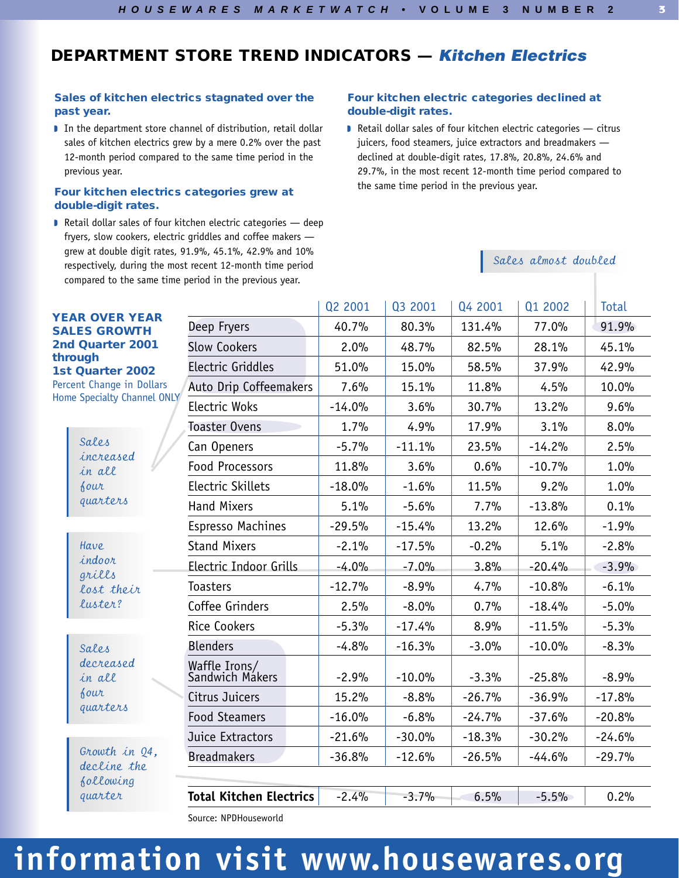# **DEPARTMENT STORE TREND INDICATORS —** *Kitchen Electrics*

### **Sales of kitchen electrics stagnated over the past year.**

In the department store channel of distribution, retail dollar sales of kitchen electrics grew by a mere 0.2% over the past 12-month period compared to the same time period in the previous year.

#### **Four kitchen electrics categories grew at double-digit rates.**

 $\blacksquare$  Retail dollar sales of four kitchen electric categories  $\rightharpoonup$  deep fryers, slow cookers, electric griddles and coffee makers grew at double digit rates, 91.9%, 45.1%, 42.9% and 10% respectively, during the most recent 12-month time period compared to the same time period in the previous year.

#### **Four kitchen electric categories declined at double-digit rates.**

Retail dollar sales of four kitchen electric categories  $-$  citrus juicers, food steamers, juice extractors and breadmakers declined at double-digit rates, 17.8%, 20.8%, 24.6% and 29.7%, in the most recent 12-month time period compared to the same time period in the previous year.

### Sales almost doubled

**3**

|                                              |                                  | Q2 2001  | Q3 2001  | Q4 2001  | Q1 2002  | Total    |
|----------------------------------------------|----------------------------------|----------|----------|----------|----------|----------|
| <b>YEAR OVER YEAR</b><br><b>SALES GROWTH</b> | Deep Fryers                      | 40.7%    | 80.3%    | 131.4%   | 77.0%    | 91.9%    |
| 2nd Quarter 2001                             | <b>Slow Cookers</b>              | 2.0%     | 48.7%    | 82.5%    | 28.1%    | 45.1%    |
| through<br>1st Quarter 2002                  | Electric Griddles                | 51.0%    | 15.0%    | 58.5%    | 37.9%    | 42.9%    |
| Percent Change in Dollars                    | <b>Auto Drip Coffeemakers</b>    | 7.6%     | 15.1%    | 11.8%    | 4.5%     | 10.0%    |
| Home Specialty Channel ONLY                  | Electric Woks                    | $-14.0%$ | 3.6%     | 30.7%    | 13.2%    | 9.6%     |
|                                              | <b>Toaster Ovens</b>             | 1.7%     | 4.9%     | 17.9%    | 3.1%     | 8.0%     |
| Sales<br>increased                           | Can Openers                      | $-5.7%$  | $-11.1%$ | 23.5%    | $-14.2%$ | 2.5%     |
| in all                                       | <b>Food Processors</b>           | 11.8%    | 3.6%     | 0.6%     | $-10.7%$ | 1.0%     |
| four                                         | Electric Skillets                | $-18.0%$ | $-1.6%$  | 11.5%    | 9.2%     | 1.0%     |
| quarters                                     | <b>Hand Mixers</b>               | 5.1%     | $-5.6%$  | 7.7%     | $-13.8%$ | 0.1%     |
| Have                                         | <b>Espresso Machines</b>         | $-29.5%$ | $-15.4%$ | 13.2%    | 12.6%    | $-1.9%$  |
|                                              | <b>Stand Mixers</b>              | $-2.1%$  | $-17.5%$ | $-0.2%$  | 5.1%     | $-2.8%$  |
| indoor<br>grills                             | <b>Electric Indoor Grills</b>    | $-4.0%$  | $-7.0%$  | 3.8%     | $-20.4%$ | $-3.9%$  |
| lost their                                   | <b>Toasters</b>                  | $-12.7%$ | $-8.9%$  | 4.7%     | $-10.8%$ | $-6.1%$  |
| luster?                                      | Coffee Grinders                  | 2.5%     | $-8.0%$  | 0.7%     | $-18.4%$ | $-5.0%$  |
|                                              | <b>Rice Cookers</b>              | $-5.3%$  | $-17.4%$ | 8.9%     | $-11.5%$ | $-5.3%$  |
| Sales                                        | <b>Blenders</b>                  | $-4.8%$  | $-16.3%$ | $-3.0%$  | $-10.0%$ | $-8.3%$  |
| decreased<br>in all                          | Waffle Irons/<br>Sandwich Makers | $-2.9%$  | $-10.0%$ | $-3.3%$  | $-25.8%$ | $-8.9%$  |
| four                                         | Citrus Juicers                   | 15.2%    | $-8.8%$  | $-26.7%$ | $-36.9%$ | $-17.8%$ |
| quarters                                     | <b>Food Steamers</b>             | $-16.0%$ | $-6.8%$  | $-24.7%$ | $-37.6%$ | $-20.8%$ |
|                                              | Juice Extractors                 | $-21.6%$ | $-30.0%$ | $-18.3%$ | $-30.2%$ | $-24.6%$ |
| Growth in Q4,<br>decline the                 | <b>Breadmakers</b>               | $-36.8%$ | $-12.6%$ | $-26.5%$ | $-44.6%$ | $-29.7%$ |
| following                                    |                                  |          |          |          |          |          |
| guarter                                      | <b>Total Kitchen Electrics</b>   | $-2.4%$  | $-3.7%$  | 6.5%     | $-5.5%$  | 0.2%     |
|                                              | Source: NPDHouseworld            |          |          |          |          |          |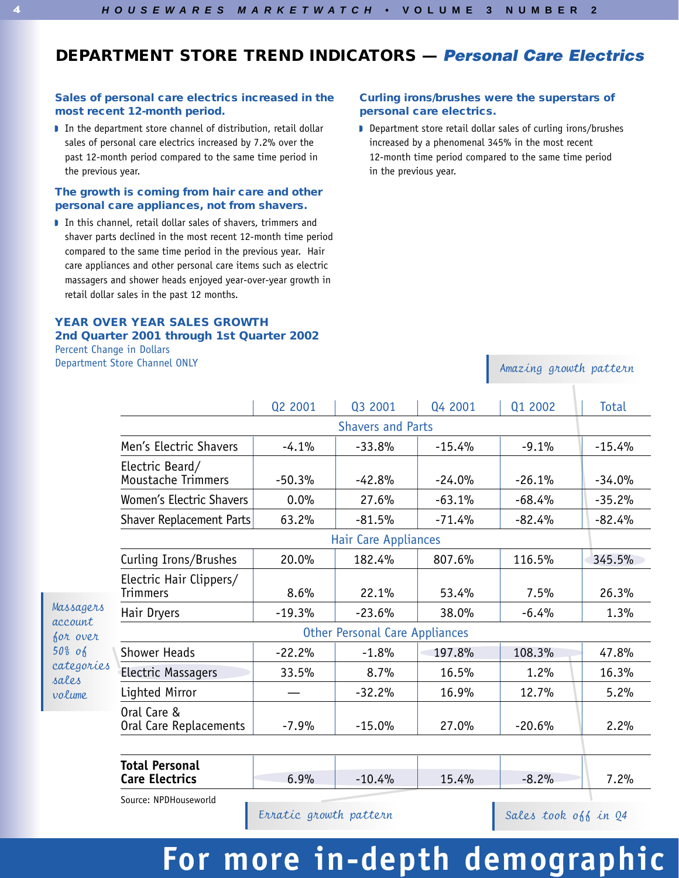# **DEPARTMENT STORE TREND INDICATORS —** *Personal Care Electrics*

#### **Sales of personal care electrics increased in the most recent 12-month period.**

In the department store channel of distribution, retail dollar sales of personal care electrics increased by 7.2% over the past 12-month period compared to the same time period in the previous year.

#### **The growth is coming from hair care and other personal care appliances, not from shavers.**

In this channel, retail dollar sales of shavers, trimmers and shaver parts declined in the most recent 12-month time period compared to the same time period in the previous year. Hair care appliances and other personal care items such as electric massagers and shower heads enjoyed year-over-year growth in retail dollar sales in the past 12 months.

## **YEAR OVER YEAR SALES GROWTH 2nd Quarter 2001 through 1st Quarter 2002**

Percent Change in Dollars Department Store Channel ONLY

#### **Curling irons/brushes were the superstars of personal care electrics.**

D Department store retail dollar sales of curling irons/brushes increased by a phenomenal 345% in the most recent 12-month time period compared to the same time period in the previous year.

|                     |                                                | Q2 2001  | Q3 2001  | Q4 2001  | Q1 2002  | Total    |  |  |  |  |  |
|---------------------|------------------------------------------------|----------|----------|----------|----------|----------|--|--|--|--|--|
|                     | <b>Shavers and Parts</b>                       |          |          |          |          |          |  |  |  |  |  |
|                     | Men's Electric Shavers                         | $-4.1%$  | $-33.8%$ | $-15.4%$ | $-9.1%$  | $-15.4%$ |  |  |  |  |  |
|                     | Electric Beard/<br>Moustache Trimmers          | $-50.3%$ | $-42.8%$ | $-24.0%$ | $-26.1%$ | $-34.0%$ |  |  |  |  |  |
|                     | Women's Electric Shavers                       | 0.0%     | 27.6%    | $-63.1%$ | $-68.4%$ | $-35.2%$ |  |  |  |  |  |
|                     | <b>Shaver Replacement Parts</b>                | 63.2%    | $-81.5%$ | $-71.4%$ | $-82.4%$ | $-82.4%$ |  |  |  |  |  |
|                     | Hair Care Appliances                           |          |          |          |          |          |  |  |  |  |  |
|                     | Curling Irons/Brushes                          | 20.0%    | 182.4%   | 807.6%   | 116.5%   | 345.5%   |  |  |  |  |  |
|                     | Electric Hair Clippers/<br><b>Trimmers</b>     | 8.6%     | 22.1%    | 53.4%    | 7.5%     | 26.3%    |  |  |  |  |  |
| Massagers           | Hair Dryers                                    | $-19.3%$ | $-23.6%$ | 38.0%    | $-6.4%$  | 1.3%     |  |  |  |  |  |
| account<br>for over | <b>Other Personal Care Appliances</b>          |          |          |          |          |          |  |  |  |  |  |
| $50\%$ of           | <b>Shower Heads</b>                            | $-22.2%$ | $-1.8%$  | 197.8%   | 108.3%   | 47.8%    |  |  |  |  |  |
| categories<br>sales | <b>Electric Massagers</b>                      | 33.5%    | 8.7%     | 16.5%    | 1.2%     | 16.3%    |  |  |  |  |  |
| volume              | Lighted Mirror                                 |          | $-32.2%$ | 16.9%    | 12.7%    | 5.2%     |  |  |  |  |  |
|                     | Oral Care &<br>Oral Care Replacements          | $-7.9%$  | $-15.0%$ | 27.0%    | $-20.6%$ | 2.2%     |  |  |  |  |  |
|                     |                                                |          |          |          |          |          |  |  |  |  |  |
|                     | <b>Total Personal</b><br><b>Care Electrics</b> | 6.9%     | $-10.4%$ | 15.4%    | $-8.2%$  | 7.2%     |  |  |  |  |  |
|                     | Source: NPDHouseworld                          |          |          |          |          |          |  |  |  |  |  |

 $Erratio$  growth pattern  $\blacksquare$  Sales took off in Q4

Amazing growth pattern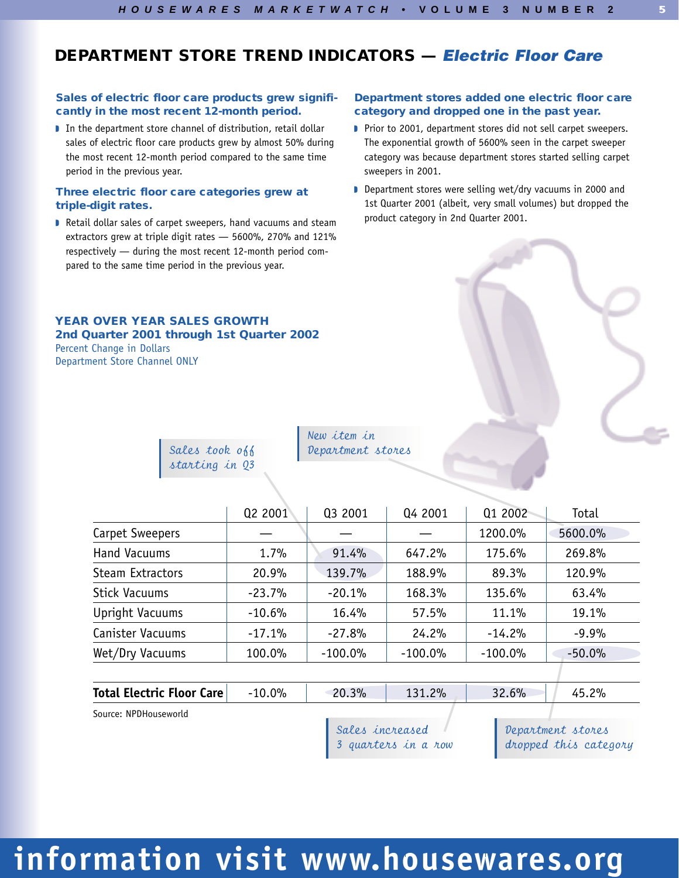## **DEPARTMENT STORE TREND INDICATORS —** *Electric Floor Care*

### **Sales of electric floor care products grew significantly in the most recent 12-month period.**

In the department store channel of distribution, retail dollar sales of electric floor care products grew by almost 50% during the most recent 12-month period compared to the same time period in the previous year.

#### **Three electric floor care categories grew at triple-digit rates.**

Retail dollar sales of carpet sweepers, hand vacuums and steam extractors grew at triple digit rates — 5600%, 270% and 121% respectively — during the most recent 12-month period compared to the same time period in the previous year.

### **YEAR OVER YEAR SALES GROWTH 2nd Quarter 2001 through 1st Quarter 2002**

Percent Change in Dollars Department Store Channel ONLY

#### **Department stores added one electric floor care category and dropped one in the past year.**

- Prior to 2001, department stores did not sell carpet sweepers. The exponential growth of 5600% seen in the carpet sweeper category was because department stores started selling carpet sweepers in 2001.
- D Department stores were selling wet/dry vacuums in 2000 and 1st Quarter 2001 (albeit, very small volumes) but dropped the product category in 2nd Quarter 2001.

Sales took off starting in Q3

New item in Department stores

|                         | Q2 2001  | Q3 2001    | 04 2001    | Q1 2002    | Total    |
|-------------------------|----------|------------|------------|------------|----------|
|                         |          |            |            |            |          |
| Carpet Sweepers         |          |            |            | 1200.0%    | 5600.0%  |
| <b>Hand Vacuums</b>     | 1.7%     | 91.4%      | 647.2%     | 175.6%     | 269.8%   |
| <b>Steam Extractors</b> | 20.9%    | 139.7%     | 188.9%     | 89.3%      | 120.9%   |
| <b>Stick Vacuums</b>    | $-23.7%$ | $-20.1%$   | 168.3%     | 135.6%     | 63.4%    |
| Upright Vacuums         | $-10.6%$ | 16.4%      | 57.5%      | 11.1%      | 19.1%    |
| Canister Vacuums        | $-17.1%$ | $-27.8%$   | 24.2%      | $-14.2%$   | $-9.9%$  |
| Wet/Dry Vacuums         | 100.0%   | $-100.0\%$ | $-100.0\%$ | $-100.0\%$ | $-50.0%$ |
|                         |          |            |            |            |          |
|                         |          |            |            |            |          |

| <b>Total Electric Floor Care</b> | 10.0% | 20.3% | 131.2% | 32.6% | 2% |  |
|----------------------------------|-------|-------|--------|-------|----|--|
| Courset NDDHouseworld            |       |       |        |       |    |  |

Source: NPDHouseworld

Sales increased 3 quarters in a row Department stores dropped this category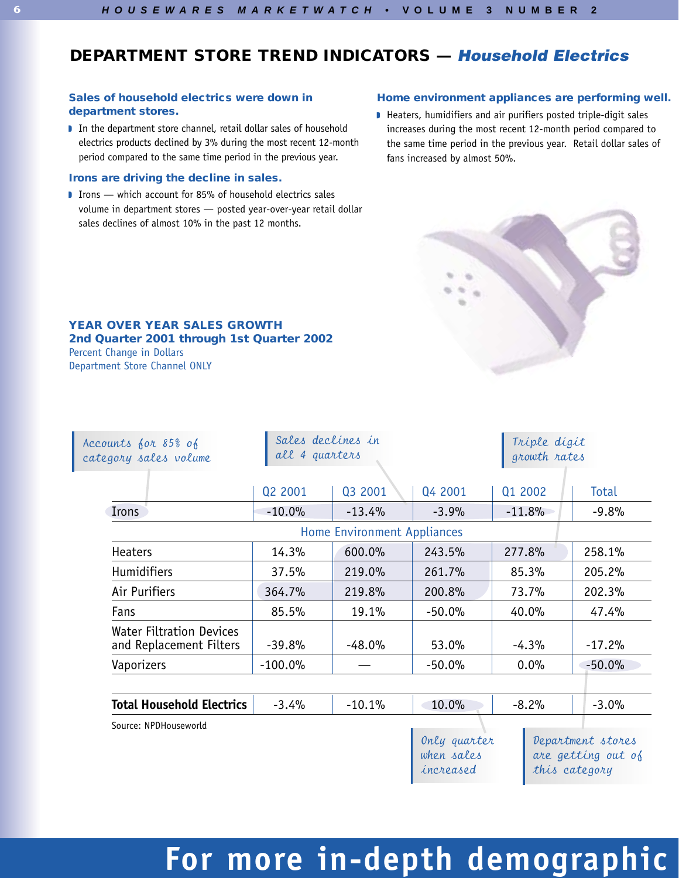# **DEPARTMENT STORE TREND INDICATORS —** *Household Electrics*

### **Sales of household electrics were down in department stores.**

In the department store channel, retail dollar sales of household electrics products declined by 3% during the most recent 12-month period compared to the same time period in the previous year.

#### **Irons are driving the decline in sales.**

I Irons — which account for 85% of household electrics sales volume in department stores — posted year-over-year retail dollar sales declines of almost 10% in the past 12 months.

#### **Home environment appliances are performing well.**

V Heaters, humidifiers and air purifiers posted triple-digit sales increases during the most recent 12-month period compared to the same time period in the previous year. Retail dollar sales of fans increased by almost 50%.



#### **YEAR OVER YEAR SALES GROWTH 2nd Quarter 2001 through 1st Quarter 2002** Percent Change in Dollars

Department Store Channel ONLY

| Accounts for 85% of<br>category sales volume               | Sales declines in<br>all 4 guarters |                             |                                         | Triple digit<br>growth rates |                                                          |
|------------------------------------------------------------|-------------------------------------|-----------------------------|-----------------------------------------|------------------------------|----------------------------------------------------------|
|                                                            | Q2 2001                             | Q3 2001                     | Q4 2001                                 | Q1 2002                      | <b>Total</b>                                             |
| Irons                                                      | $-10.0%$                            | $-13.4%$                    | $-3.9%$                                 | $-11.8%$                     | $-9.8%$                                                  |
|                                                            |                                     | Home Environment Appliances |                                         |                              |                                                          |
| <b>Heaters</b>                                             | 14.3%                               | 600.0%                      | 243.5%                                  | 277.8%                       | 258.1%                                                   |
| <b>Humidifiers</b>                                         | 37.5%                               | 219.0%                      | 261.7%                                  | 85.3%                        | 205.2%                                                   |
| Air Purifiers                                              | 364.7%                              | 219.8%                      | 200.8%                                  | 73.7%                        | 202.3%                                                   |
| Fans                                                       | 85.5%                               | 19.1%                       | $-50.0%$                                | 40.0%                        | 47.4%                                                    |
| <b>Water Filtration Devices</b><br>and Replacement Filters | $-39.8%$                            | $-48.0\%$                   | 53.0%                                   | $-4.3%$                      | $-17.2%$                                                 |
| Vaporizers                                                 | $-100.0%$                           |                             | $-50.0%$                                | 0.0%                         | $-50.0%$                                                 |
|                                                            |                                     |                             |                                         |                              |                                                          |
| <b>Total Household Electrics</b>                           | $-3.4%$                             | $-10.1%$                    | 10.0%                                   | $-8.2%$                      | $-3.0%$                                                  |
| Source: NPDHouseworld                                      |                                     |                             | Only quarter<br>when sales<br>increased |                              | Department stores<br>are getting out of<br>this category |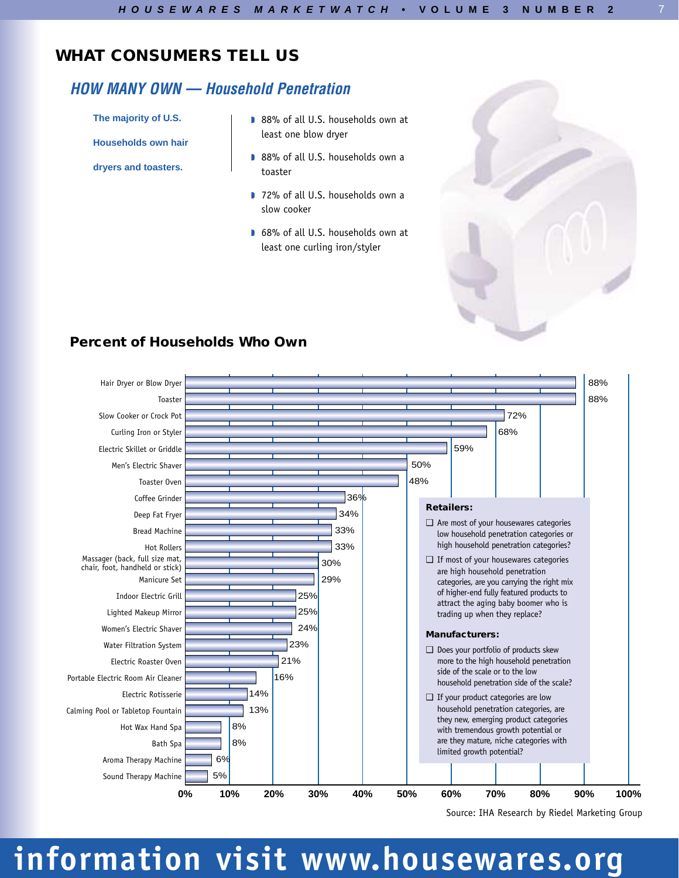## *HOW MANY OWN — Household Penetration*

**The majority of U.S.**

**Households own hair**

**dryers and toasters.**

- 88% of all U.S. households own at least one blow dryer
- 88% of all U.S. households own a toaster
- 1 72% of all U.S. households own a slow cooker
- G8% of all U.S. households own at least one curling iron/styler



7

## **Percent of Households Who Own**



Source: IHA Research by Riedel Marketing Group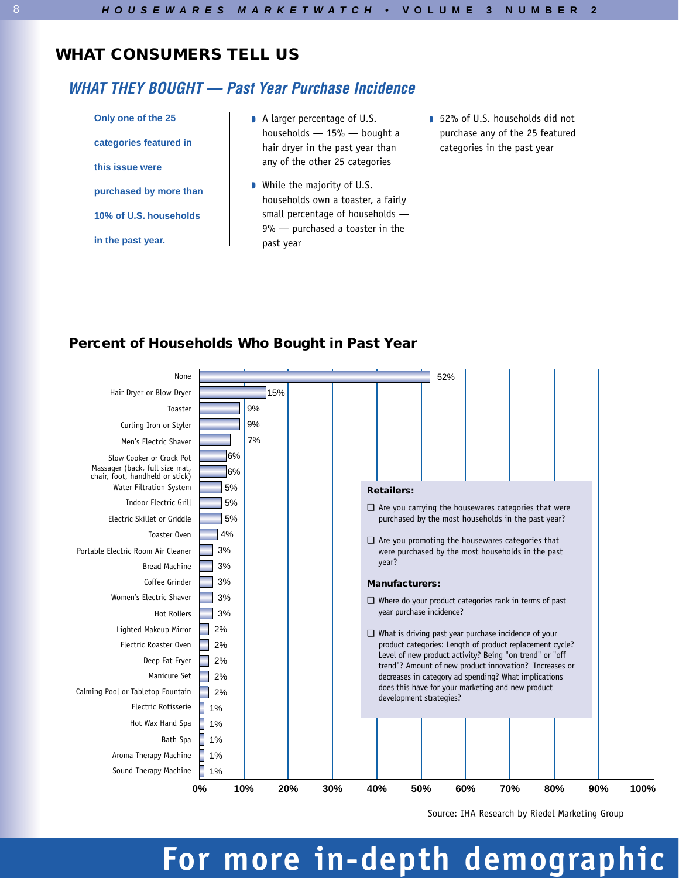## *WHAT THEY BOUGHT — Past Year Purchase Incidence*

**Only one of the 25 categories featured in this issue were purchased by more than 10% of U.S. households in the past year.**

- A larger percentage of U.S. households — 15% — bought a hair dryer in the past year than any of the other 25 categories
- **N** While the majority of U.S. households own a toaster, a fairly small percentage of households — 9% — purchased a toaster in the past year
- 52% of U.S. households did not purchase any of the 25 featured categories in the past year

### **Percent of Households Who Bought in Past Year**



Source: IHA Research by Riedel Marketing Group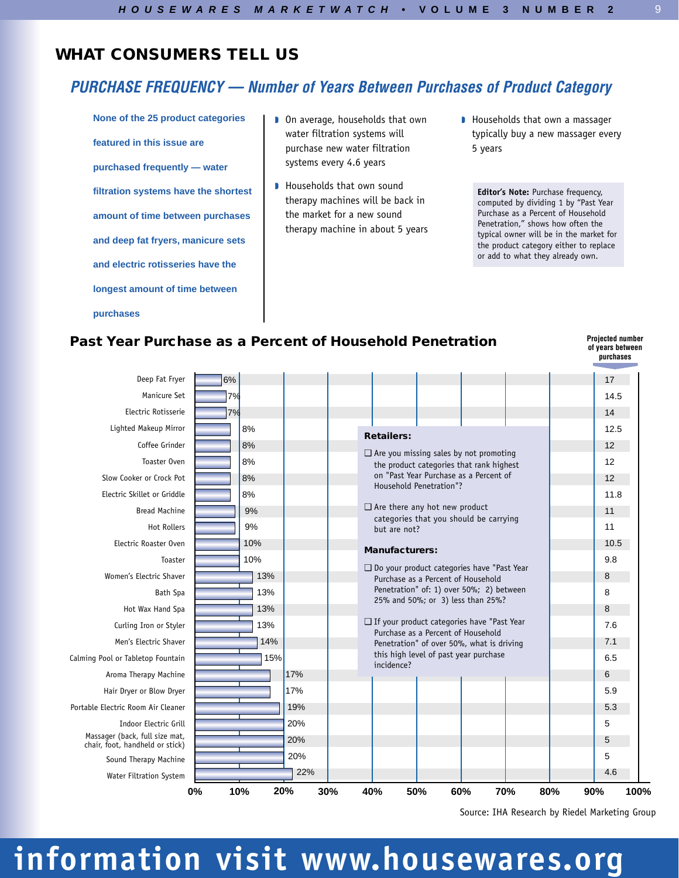# *PURCHASE FREQUENCY — Number of Years Between Purchases of Product Category*

**None of the 25 product categories featured in this issue are purchased frequently — water filtration systems have the shortest amount of time between purchases and deep fat fryers, manicure sets and electric rotisseries have the longest amount of time between purchases**

- **D** On average, households that own water filtration systems will purchase new water filtration systems every 4.6 years
- **I** Households that own sound therapy machines will be back in the market for a new sound therapy machine in about 5 years
- **I** Households that own a massager typically buy a new massager every 5 years

**Editor's Note:** Purchase frequency, computed by dividing 1 by "Past Year Purchase as a Percent of Household Penetration," shows how often the typical owner will be in the market for the product category either to replace or add to what they already own.

### **Past Year Purchase as a Percent of Household Penetration**

**Projected number of years between purchases**

9

| Deep Fat Fryer                                                    | 6%        |            |                   |                                                                                         |     |     |     | 17   |      |
|-------------------------------------------------------------------|-----------|------------|-------------------|-----------------------------------------------------------------------------------------|-----|-----|-----|------|------|
| Manicure Set                                                      | 7%        |            |                   |                                                                                         |     |     |     | 14.5 |      |
| Electric Rotisserie                                               | 7%        |            |                   |                                                                                         |     |     |     | 14   |      |
| Lighted Makeup Mirror                                             | 8%        |            | <b>Retailers:</b> |                                                                                         |     |     |     | 12.5 |      |
| Coffee Grinder                                                    | 8%        |            |                   | $\Box$ Are you missing sales by not promoting                                           |     |     |     | 12   |      |
| Toaster Oven                                                      | 8%        |            |                   | the product categories that rank highest                                                |     |     |     | 12   |      |
| Slow Cooker or Crock Pot                                          | 8%        |            |                   | on "Past Year Purchase as a Percent of                                                  |     |     |     | 12   |      |
| Electric Skillet or Griddle                                       | 8%        |            |                   | Household Penetration"?                                                                 |     |     |     | 11.8 |      |
| <b>Bread Machine</b>                                              | 9%        |            |                   | $\Box$ Are there any hot new product                                                    |     |     |     | 11   |      |
| <b>Hot Rollers</b>                                                | 9%        |            |                   | categories that you should be carrying<br>but are not?                                  |     |     |     | 11   |      |
| Electric Roaster Oven                                             | 10%       |            |                   | <b>Manufacturers:</b>                                                                   |     |     |     | 10.5 |      |
| Toaster                                                           | 10%       |            |                   |                                                                                         |     |     |     | 9.8  |      |
| Women's Electric Shaver                                           | 13%       |            |                   | $\Box$ Do your product categories have "Past Year<br>Purchase as a Percent of Household |     |     |     | 8    |      |
| <b>Bath Spa</b>                                                   | 13%       |            |                   | Penetration" of: 1) over 50%; 2) between                                                |     |     |     | 8    |      |
| Hot Wax Hand Spa                                                  | 13%       |            |                   | 25% and 50%; or 3) less than 25%?                                                       |     |     |     | 8    |      |
| Curling Iron or Styler                                            | 13%       |            |                   | If your product categories have "Past Year                                              |     |     |     | 7.6  |      |
| Men's Electric Shaver                                             | 14%       |            |                   | Purchase as a Percent of Household<br>Penetration" of over 50%, what is driving         |     |     |     | 7.1  |      |
| Calming Pool or Tabletop Fountain                                 | 15%       |            |                   | this high level of past year purchase                                                   |     |     |     | 6.5  |      |
| Aroma Therapy Machine                                             |           | 17%        | incidence?        |                                                                                         |     |     |     | 6    |      |
| Hair Dryer or Blow Dryer                                          |           | 17%        |                   |                                                                                         |     |     |     | 5.9  |      |
| Portable Electric Room Air Cleaner                                |           | 19%        |                   |                                                                                         |     |     |     | 5.3  |      |
| Indoor Electric Grill                                             |           | 20%        |                   |                                                                                         |     |     |     | 5    |      |
| Massager (back, full size mat,<br>chair, foot, handheld or stick) |           | 20%        |                   |                                                                                         |     |     |     | 5    |      |
| Sound Therapy Machine                                             |           | 20%        |                   |                                                                                         |     |     |     | 5    |      |
| Water Filtration System                                           |           | 22%        |                   |                                                                                         |     |     |     | 4.6  |      |
|                                                                   | 0%<br>10% | 20%<br>30% | 40%               | 50%                                                                                     | 60% | 70% | 80% | 90%  | 100% |

Source: IHA Research by Riedel Marketing Group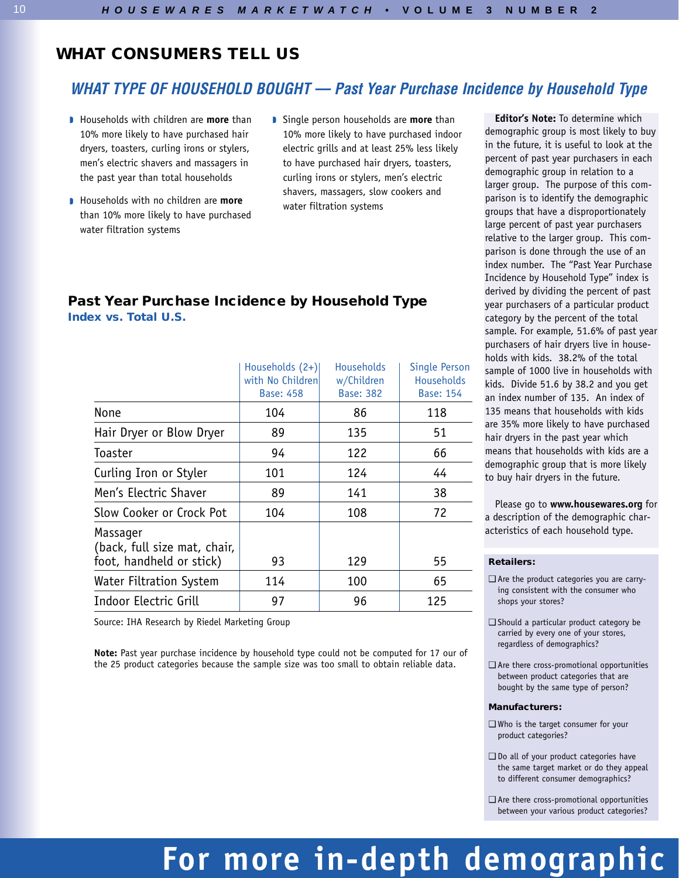## *WHAT TYPE OF HOUSEHOLD BOUGHT — Past Year Purchase Incidence by Household Type*

- **I** Households with children are **more** than 10% more likely to have purchased hair dryers, toasters, curling irons or stylers, men's electric shavers and massagers in the past year than total households
- **I** Households with no children are more than 10% more likely to have purchased water filtration systems
- **Single person households are more than** 10% more likely to have purchased indoor electric grills and at least 25% less likely to have purchased hair dryers, toasters, curling irons or stylers, men's electric shavers, massagers, slow cookers and water filtration systems

### **Past Year Purchase Incidence by Household Type Index vs. Total U.S.**

|                                                                      | Households (2+)<br>with No Children<br><b>Base: 458</b> | <b>Households</b><br>w/Children<br><b>Base: 382</b> | <b>Single Person</b><br><b>Households</b><br><b>Base: 154</b> |
|----------------------------------------------------------------------|---------------------------------------------------------|-----------------------------------------------------|---------------------------------------------------------------|
| None                                                                 | 104                                                     | 86                                                  | 118                                                           |
| Hair Dryer or Blow Dryer                                             | 89                                                      | 135                                                 | 51                                                            |
| Toaster                                                              | 94                                                      | 122                                                 | 66                                                            |
| Curling Iron or Styler                                               | 101                                                     | 124                                                 | 44                                                            |
| Men's Electric Shaver                                                | 89                                                      | 141                                                 | 38                                                            |
| Slow Cooker or Crock Pot                                             | 104                                                     | 108                                                 | 72                                                            |
| Massager<br>(back, full size mat, chair,<br>foot, handheld or stick) | 93                                                      | 129                                                 | 55                                                            |
| <b>Water Filtration System</b>                                       | 114                                                     | 100                                                 | 65                                                            |
| Indoor Electric Grill                                                | 97                                                      | 96                                                  | 125                                                           |

Source: IHA Research by Riedel Marketing Group

**Note:** Past year purchase incidence by household type could not be computed for 17 our of the 25 product categories because the sample size was too small to obtain reliable data.

**Editor's Note:** To determine which demographic group is most likely to buy in the future, it is useful to look at the percent of past year purchasers in each demographic group in relation to a larger group. The purpose of this comparison is to identify the demographic groups that have a disproportionately large percent of past year purchasers relative to the larger group. This comparison is done through the use of an index number. The "Past Year Purchase Incidence by Household Type" index is derived by dividing the percent of past year purchasers of a particular product category by the percent of the total sample. For example, 51.6% of past year purchasers of hair dryers live in households with kids. 38.2% of the total sample of 1000 live in households with kids. Divide 51.6 by 38.2 and you get an index number of 135. An index of 135 means that households with kids are 35% more likely to have purchased hair dryers in the past year which means that households with kids are a demographic group that is more likely to buy hair dryers in the future.

Please go to **www.housewares.org** for a description of the demographic characteristics of each household type.

#### **Retailers:**

- ❑ Are the product categories you are carrying consistent with the consumer who shops your stores?
- ❑ Should a particular product category be carried by every one of your stores, regardless of demographics?
- ❑ Are there cross-promotional opportunities between product categories that are bought by the same type of person?

#### **Manufacturers:**

- ❑ Who is the target consumer for your product categories?
- ❑ Do all of your product categories have the same target market or do they appeal to different consumer demographics?
- ❑ Are there cross-promotional opportunities between your various product categories?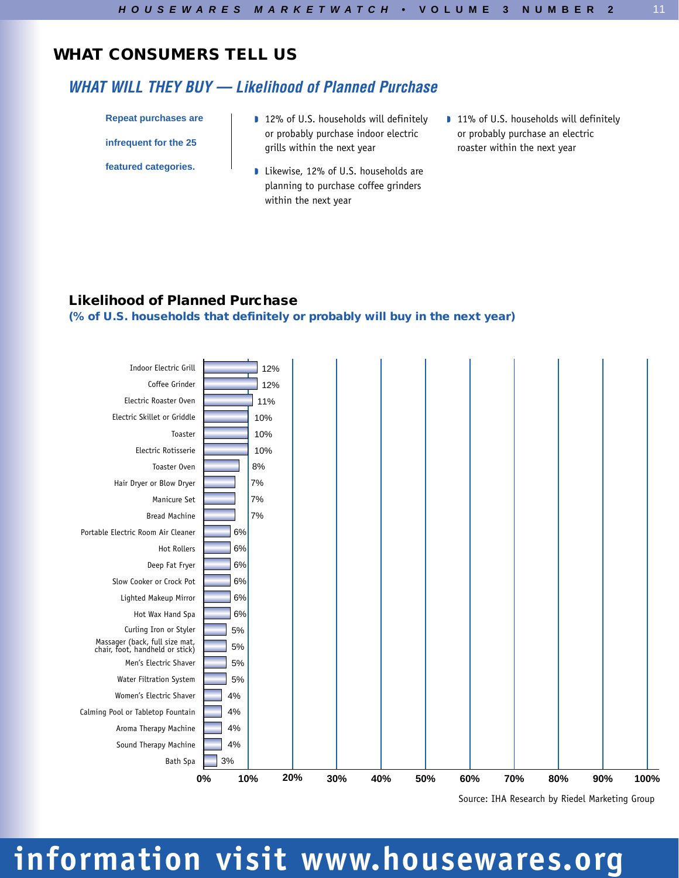# *WHAT WILL THEY BUY — Likelihood of Planned Purchase*

**Repeat purchases are**

**infrequent for the 25**

**featured categories.**

- 12% of U.S. households will definitely or probably purchase indoor electric grills within the next year
- **I** Likewise, 12% of U.S. households are planning to purchase coffee grinders within the next year
- **11% of U.S. households will definitely** or probably purchase an electric roaster within the next year

11

## **Likelihood of Planned Purchase**

### **(% of U.S. households that definitely or probably will buy in the next year)**



Source: IHA Research by Riedel Marketing Group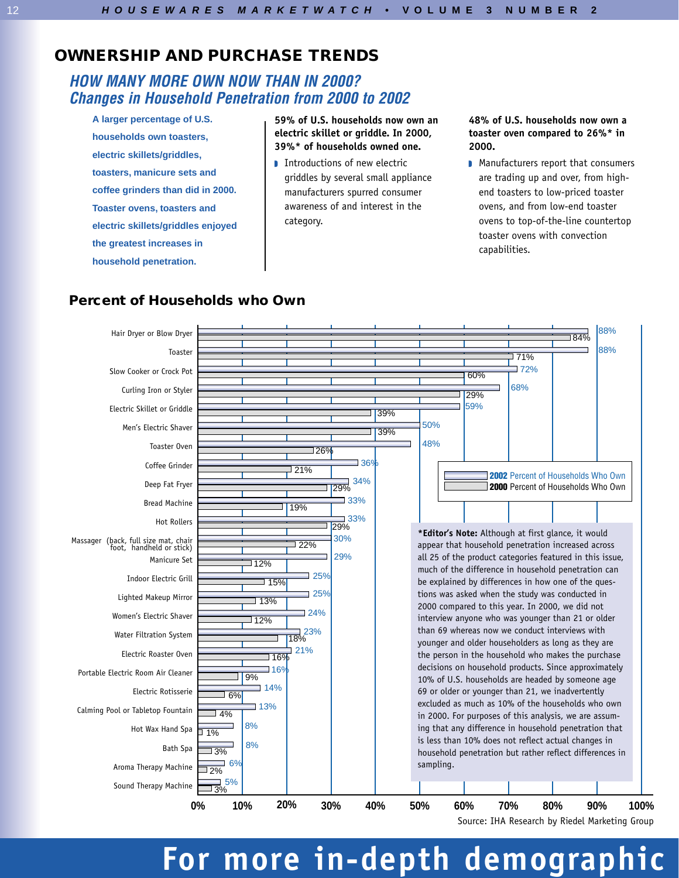## **OWNERSHIP AND PURCHASE TRENDS**

## *HOW MANY MORE OWN NOW THAN IN 2000? Changes in Household Penetration from 2000 to 2002*

**A larger percentage of U.S. households own toasters, electric skillets/griddles, toasters, manicure sets and coffee grinders than did in 2000. Toaster ovens, toasters and electric skillets/griddles enjoyed the greatest increases in household penetration.**

**59% of U.S. households now own an electric skillet or griddle. In 2000, 39%\* of households owned one.**

**Introductions of new electric** griddles by several small appliance manufacturers spurred consumer awareness of and interest in the category.

#### **48% of U.S. households now own a toaster oven compared to 26%\* in 2000.**

**Manufacturers report that consumers** are trading up and over, from highend toasters to low-priced toaster ovens, and from low-end toaster ovens to top-of-the-line countertop toaster ovens with convection capabilities.



## **Percent of Households who Own**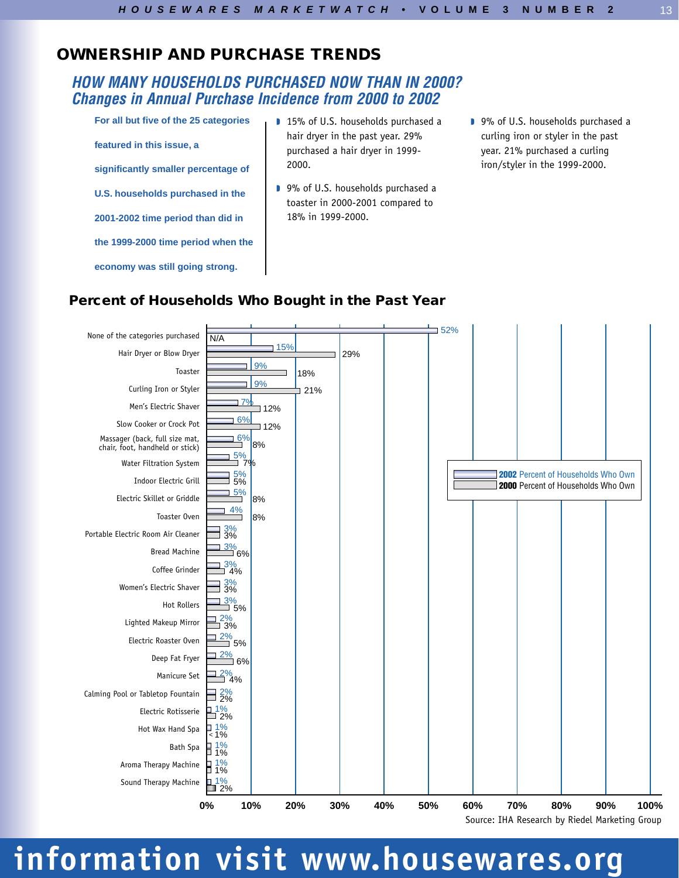## **OWNERSHIP AND PURCHASE TRENDS**

## *HOW MANY HOUSEHOLDS PURCHASED NOW THAN IN 2000? Changes in Annual Purchase Incidence from 2000 to 2002*

**For all but five of the 25 categories featured in this issue, a significantly smaller percentage of U.S. households purchased in the 2001-2002 time period than did in the 1999-2000 time period when the**

**economy was still going strong.**

- 15% of U.S. households purchased a hair dryer in the past year. 29% purchased a hair dryer in 1999- 2000.
- 9% of U.S. households purchased a toaster in 2000-2001 compared to 18% in 1999-2000.
- 9% of U.S. households purchased a curling iron or styler in the past year. 21% purchased a curling iron/styler in the 1999-2000.

## **Percent of Households Who Bought in the Past Year**